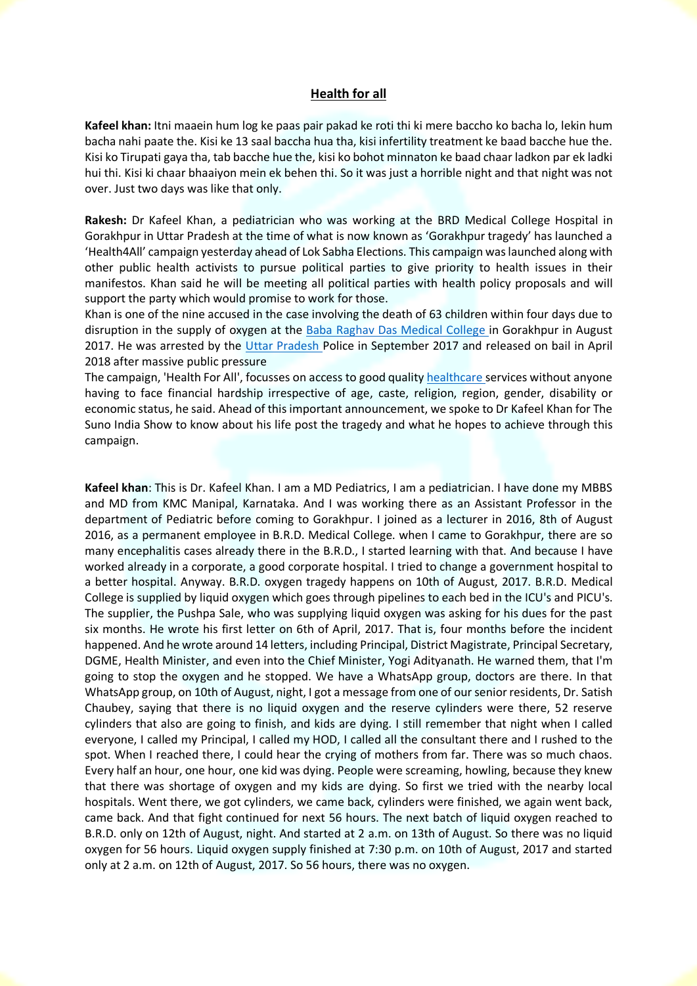## **Health for all**

**Kafeel khan:** Itni maaein hum log ke paas pair pakad ke roti thi ki mere baccho ko bacha lo, lekin hum bacha nahi paate the. Kisi ke 13 saal baccha hua tha, kisi infertility treatment ke baad bacche hue the. Kisi ko Tirupati gaya tha, tab bacche hue the, kisi ko bohot minnaton ke baad chaar ladkon par ek ladki hui thi. Kisi ki chaar bhaaiyon mein ek behen thi. So it was just a horrible night and that night was not over. Just two days was like that only.

**Rakesh:** Dr Kafeel Khan, a pediatrician who was working at the BRD Medical College Hospital in Gorakhpur in Uttar Pradesh at the time of what is now known as 'Gorakhpur tragedy' has launched a 'Health4All' campaign yesterday ahead of Lok Sabha Elections. This campaign was launched along with other public health activists to pursue political parties to give priority to health issues in their manifestos. Khan said he will be meeting all political parties with health policy proposals and will support the party which would promise to work for those.

Khan is one of the nine accused in the case involving the death of 63 children within four days due to disruption in the supply of oxygen at the Baba Raghav Das Medical College in Gorakhpur in August 2017. He was arrested by the Uttar Pradesh Police in September 2017 and released on bail in April 2018 after massive public pressure

The campaign, 'Health For All', focusses on access to good quality healthcare services without anyone having to face financial hardship irrespective of age, caste, religion, region, gender, disability or economic status, he said. Ahead of this important announcement, we spoke to Dr Kafeel Khan for The Suno India Show to know about his life post the tragedy and what he hopes to achieve through this campaign.

**Kafeel khan**: This is Dr. Kafeel Khan. I am a MD Pediatrics, I am a pediatrician. I have done my MBBS and MD from KMC Manipal, Karnataka. And I was working there as an Assistant Professor in the department of Pediatric before coming to Gorakhpur. I joined as a lecturer in 2016, 8th of August 2016, as a permanent employee in B.R.D. Medical College. when I came to Gorakhpur, there are so many encephalitis cases already there in the B.R.D., I started learning with that. And because I have worked already in a corporate, a good corporate hospital. I tried to change a government hospital to a better hospital. Anyway. B.R.D. oxygen tragedy happens on 10th of August, 2017. B.R.D. Medical College is supplied by liquid oxygen which goes through pipelines to each bed in the ICU's and PICU's. The supplier, the Pushpa Sale, who was supplying liquid oxygen was asking for his dues for the past six months. He wrote his first letter on 6th of April, 2017. That is, four months before the incident happened. And he wrote around 14 letters, including Principal, District Magistrate, Principal Secretary, DGME, Health Minister, and even into the Chief Minister, Yogi Adityanath. He warned them, that I'm going to stop the oxygen and he stopped. We have a WhatsApp group, doctors are there. In that WhatsApp group, on 10th of August, night, I got a message from one of our senior residents, Dr. Satish Chaubey, saying that there is no liquid oxygen and the reserve cylinders were there, 52 reserve cylinders that also are going to finish, and kids are dying. I still remember that night when I called everyone, I called my Principal, I called my HOD, I called all the consultant there and I rushed to the spot. When I reached there, I could hear the crying of mothers from far. There was so much chaos. Every half an hour, one hour, one kid was dying. People were screaming, howling, because they knew that there was shortage of oxygen and my kids are dying. So first we tried with the nearby local hospitals. Went there, we got cylinders, we came back, cylinders were finished, we again went back, came back. And that fight continued for next 56 hours. The next batch of liquid oxygen reached to B.R.D. only on 12th of August, night. And started at 2 a.m. on 13th of August. So there was no liquid oxygen for 56 hours. Liquid oxygen supply finished at 7:30 p.m. on 10th of August, 2017 and started only at 2 a.m. on 12th of August, 2017. So 56 hours, there was no oxygen.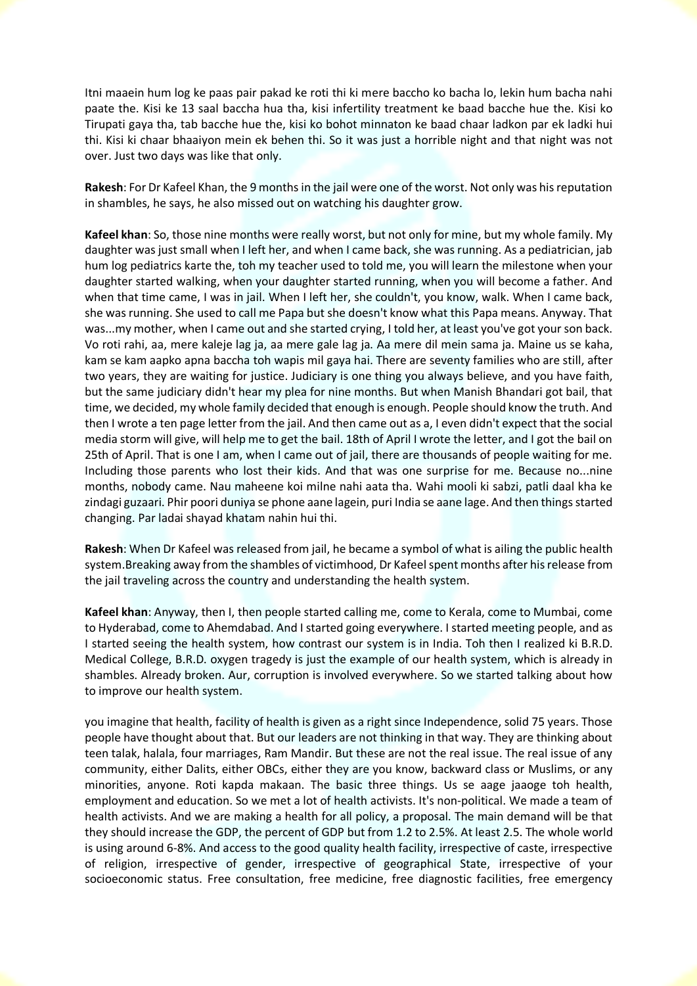Itni maaein hum log ke paas pair pakad ke roti thi ki mere baccho ko bacha lo, lekin hum bacha nahi paate the. Kisi ke 13 saal baccha hua tha, kisi infertility treatment ke baad bacche hue the. Kisi ko Tirupati gaya tha, tab bacche hue the, kisi ko bohot minnaton ke baad chaar ladkon par ek ladki hui thi. Kisi ki chaar bhaaiyon mein ek behen thi. So it was just a horrible night and that night was not over. Just two days was like that only.

**Rakesh**: For Dr Kafeel Khan, the 9 months in the jail were one of the worst. Not only was his reputation in shambles, he says, he also missed out on watching his daughter grow.

**Kafeel khan**: So, those nine months were really worst, but not only for mine, but my whole family. My daughter was just small when I left her, and when I came back, she was running. As a pediatrician, jab hum log pediatrics karte the, toh my teacher used to told me, you will learn the milestone when your daughter started walking, when your daughter started running, when you will become a father. And when that time came, I was in jail. When I left her, she couldn't, you know, walk. When I came back, she was running. She used to call me Papa but she doesn't know what this Papa means. Anyway. That was...my mother, when I came out and she started crying, I told her, at least you've got your son back. Vo roti rahi, aa, mere kaleje lag ja, aa mere gale lag ja. Aa mere dil mein sama ja. Maine us se kaha, kam se kam aapko apna baccha toh wapis mil gaya hai. There are seventy families who are still, after two years, they are waiting for justice. Judiciary is one thing you always believe, and you have faith, but the same judiciary didn't hear my plea for nine months. But when Manish Bhandari got bail, that time, we decided, my whole family decided that enough is enough. People should know the truth. And then I wrote a ten page letter from the jail. And then came out as a, I even didn't expect that the social media storm will give, will help me to get the bail. 18th of April I wrote the letter, and I got the bail on 25th of April. That is one I am, when I came out of jail, there are thousands of people waiting for me. Including those parents who lost their kids. And that was one surprise for me. Because no...nine months, nobody came. Nau maheene koi milne nahi aata tha. Wahi mooli ki sabzi, patli daal kha ke zindagi guzaari. Phir poori duniya se phone aane lagein, puri India se aane lage. And then things started changing. Par ladai shayad khatam nahin hui thi.

**Rakesh**: When Dr Kafeel was released from jail, he became a symbol of what is ailing the public health system.Breaking away from the shambles of victimhood, Dr Kafeel spent months after his release from the jail traveling across the country and understanding the health system.

**Kafeel khan**: Anyway, then I, then people started calling me, come to Kerala, come to Mumbai, come to Hyderabad, come to Ahemdabad. And I started going everywhere. I started meeting people, and as I started seeing the health system, how contrast our system is in India. Toh then I realized ki B.R.D. Medical College, B.R.D. oxygen tragedy is just the example of our health system, which is already in shambles. Already broken. Aur, corruption is involved everywhere. So we started talking about how to improve our health system.

you imagine that health, facility of health is given as a right since Independence, solid 75 years. Those people have thought about that. But our leaders are not thinking in that way. They are thinking about teen talak, halala, four marriages, Ram Mandir. But these are not the real issue. The real issue of any community, either Dalits, either OBCs, either they are you know, backward class or Muslims, or any minorities, anyone. Roti kapda makaan. The basic three things. Us se aage jaaoge toh health, employment and education. So we met a lot of health activists. It's non-political. We made a team of health activists. And we are making a health for all policy, a proposal. The main demand will be that they should increase the GDP, the percent of GDP but from 1.2 to 2.5%. At least 2.5. The whole world is using around 6-8%. And access to the good quality health facility, irrespective of caste, irrespective of religion, irrespective of gender, irrespective of geographical State, irrespective of your socioeconomic status. Free consultation, free medicine, free diagnostic facilities, free emergency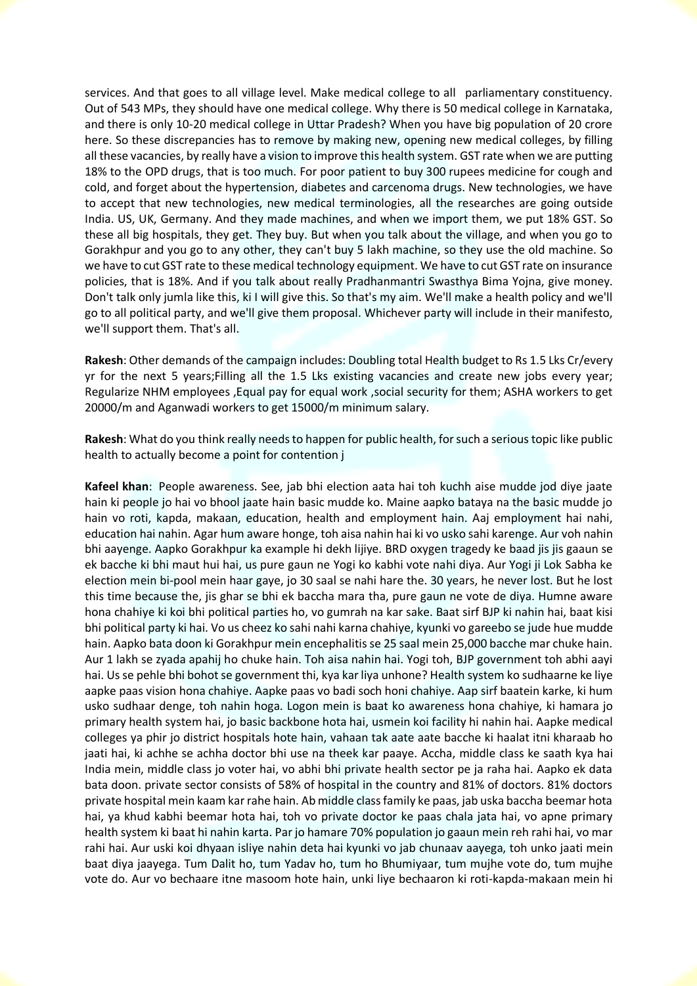services. And that goes to all village level. Make medical college to all parliamentary constituency. Out of 543 MPs, they should have one medical college. Why there is 50 medical college in Karnataka, and there is only 10-20 medical college in Uttar Pradesh? When you have big population of 20 crore here. So these discrepancies has to remove by making new, opening new medical colleges, by filling all these vacancies, by really have a vision to improve this health system. GST rate when we are putting 18% to the OPD drugs, that is too much. For poor patient to buy 300 rupees medicine for cough and cold, and forget about the hypertension, diabetes and carcenoma drugs. New technologies, we have to accept that new technologies, new medical terminologies, all the researches are going outside India. US, UK, Germany. And they made machines, and when we import them, we put 18% GST. So these all big hospitals, they get. They buy. But when you talk about the village, and when you go to Gorakhpur and you go to any other, they can't buy 5 lakh machine, so they use the old machine. So we have to cut GST rate to these medical technology equipment. We have to cut GST rate on insurance policies, that is 18%. And if you talk about really Pradhanmantri Swasthya Bima Yojna, give money. Don't talk only jumla like this, ki I will give this. So that's my aim. We'll make a health policy and we'll go to all political party, and we'll give them proposal. Whichever party will include in their manifesto, we'll support them. That's all.

**Rakesh**: Other demands of the campaign includes: Doubling total Health budget to Rs 1.5 Lks Cr/every yr for the next 5 years;Filling all the 1.5 Lks existing vacancies and create new jobs every year; Regularize NHM employees ,Equal pay for equal work ,social security for them; ASHA workers to get 20000/m and Aganwadi workers to get 15000/m minimum salary.

**Rakesh**: What do you think really needs to happen for public health, for such a serious topic like public health to actually become a point for contention j

**Kafeel khan**: People awareness. See, jab bhi election aata hai toh kuchh aise mudde jod diye jaate hain ki people jo hai vo bhool jaate hain basic mudde ko. Maine aapko bataya na the basic mudde jo hain vo roti, kapda, makaan, education, health and employment hain. Aaj employment hai nahi, education hai nahin. Agar hum aware honge, toh aisa nahin hai ki vo usko sahi karenge. Aur voh nahin bhi aayenge. Aapko Gorakhpur ka example hi dekh lijiye. BRD oxygen tragedy ke baad jis jis gaaun se ek bacche ki bhi maut hui hai, us pure gaun ne Yogi ko kabhi vote nahi diya. Aur Yogi ji Lok Sabha ke election mein bi-pool mein haar gaye, jo 30 saal se nahi hare the. 30 years, he never lost. But he lost this time because the, jis ghar se bhi ek baccha mara tha, pure gaun ne vote de diya. Humne aware hona chahiye ki koi bhi political parties ho, vo gumrah na kar sake. Baat sirf BJP ki nahin hai, baat kisi bhi political party ki hai. Vo us cheez ko sahi nahi karna chahiye, kyunki vo gareebo se jude hue mudde hain. Aapko bata doon ki Gorakhpur mein encephalitis se 25 saal mein 25,000 bacche mar chuke hain. Aur 1 lakh se zyada apahij ho chuke hain. Toh aisa nahin hai. Yogi toh, BJP government toh abhi aayi hai. Us se pehle bhi bohot se government thi, kya kar liya unhone? Health system ko sudhaarne ke liye aapke paas vision hona chahiye. Aapke paas vo badi soch honi chahiye. Aap sirf baatein karke, ki hum usko sudhaar denge, toh nahin hoga. Logon mein is baat ko awareness hona chahiye, ki hamara jo primary health system hai, jo basic backbone hota hai, usmein koi facility hi nahin hai. Aapke medical colleges ya phir jo district hospitals hote hain, vahaan tak aate aate bacche ki haalat itni kharaab ho jaati hai, ki achhe se achha doctor bhi use na theek kar paaye. Accha, middle class ke saath kya hai India mein, middle class jo voter hai, vo abhi bhi private health sector pe ja raha hai. Aapko ek data bata doon. private sector consists of 58% of hospital in the country and 81% of doctors. 81% doctors private hospital mein kaam kar rahe hain. Ab middle class family ke paas, jab uska baccha beemar hota hai, ya khud kabhi beemar hota hai, toh vo private doctor ke paas chala jata hai, vo apne primary health system ki baat hi nahin karta. Par jo hamare 70% population jo gaaun mein reh rahi hai, vo mar rahi hai. Aur uski koi dhyaan isliye nahin deta hai kyunki vo jab chunaav aayega, toh unko jaati mein baat diya jaayega. Tum Dalit ho, tum Yadav ho, tum ho Bhumiyaar, tum mujhe vote do, tum mujhe vote do. Aur vo bechaare itne masoom hote hain, unki liye bechaaron ki roti-kapda-makaan mein hi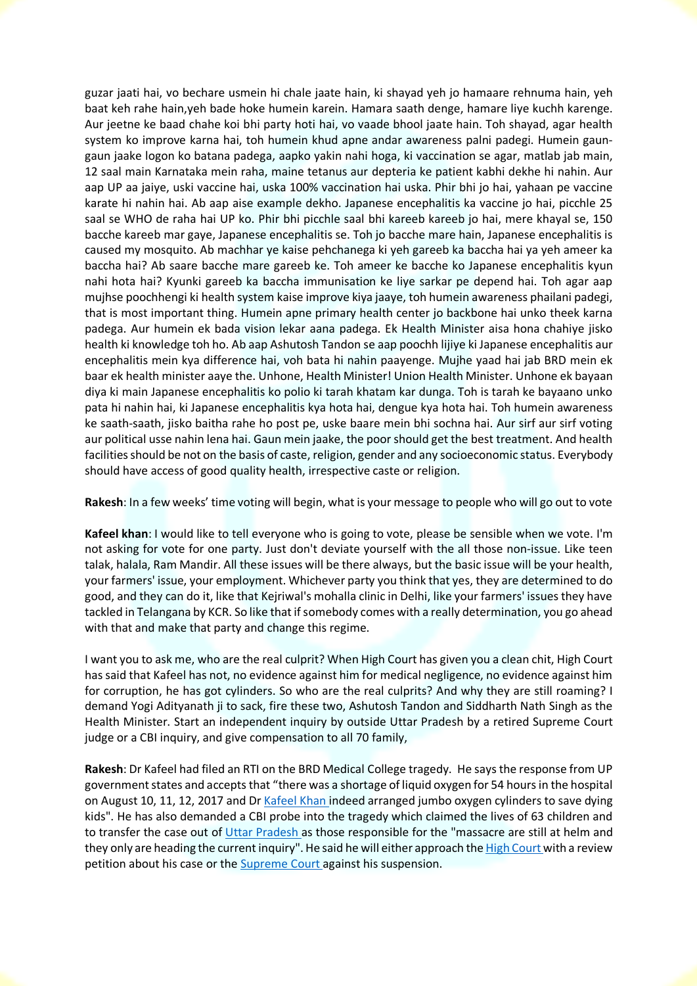guzar jaati hai, vo bechare usmein hi chale jaate hain, ki shayad yeh jo hamaare rehnuma hain, yeh baat keh rahe hain,yeh bade hoke humein karein. Hamara saath denge, hamare liye kuchh karenge. Aur jeetne ke baad chahe koi bhi party hoti hai, vo vaade bhool jaate hain. Toh shayad, agar health system ko improve karna hai, toh humein khud apne andar awareness palni padegi. Humein gaungaun jaake logon ko batana padega, aapko yakin nahi hoga, ki vaccination se agar, matlab jab main, 12 saal main Karnataka mein raha, maine tetanus aur depteria ke patient kabhi dekhe hi nahin. Aur aap UP aa jaiye, uski vaccine hai, uska 100% vaccination hai uska. Phir bhi jo hai, yahaan pe vaccine karate hi nahin hai. Ab aap aise example dekho. Japanese encephalitis ka vaccine jo hai, picchle 25 saal se WHO de raha hai UP ko. Phir bhi picchle saal bhi kareeb kareeb jo hai, mere khayal se, 150 bacche kareeb mar gaye, Japanese encephalitis se. Toh jo bacche mare hain, Japanese encephalitis is caused my mosquito. Ab machhar ye kaise pehchanega ki yeh gareeb ka baccha hai ya yeh ameer ka baccha hai? Ab saare bacche mare gareeb ke. Toh ameer ke bacche ko Japanese encephalitis kyun nahi hota hai? Kyunki gareeb ka baccha immunisation ke liye sarkar pe depend hai. Toh agar aap mujhse poochhengi ki health system kaise improve kiya jaaye, toh humein awareness phailani padegi, that is most important thing. Humein apne primary health center jo backbone hai unko theek karna padega. Aur humein ek bada vision lekar aana padega. Ek Health Minister aisa hona chahiye jisko health ki knowledge toh ho. Ab aap Ashutosh Tandon se aap poochh lijiye ki Japanese encephalitis aur encephalitis mein kya difference hai, voh bata hi nahin paayenge. Mujhe yaad hai jab BRD mein ek baar ek health minister aaye the. Unhone, Health Minister! Union Health Minister. Unhone ek bayaan diya ki main Japanese encephalitis ko polio ki tarah khatam kar dunga. Toh is tarah ke bayaano unko pata hi nahin hai, ki Japanese encephalitis kya hota hai, dengue kya hota hai. Toh humein awareness ke saath-saath, jisko baitha rahe ho post pe, uske baare mein bhi sochna hai. Aur sirf aur sirf voting aur political usse nahin lena hai. Gaun mein jaake, the poor should get the best treatment. And health facilities should be not on the basis of caste, religion, gender and any socioeconomic status. Everybody should have access of good quality health, irrespective caste or religion.

**Rakesh**: In a few weeks' time voting will begin, what is your message to people who will go out to vote

**Kafeel khan**: I would like to tell everyone who is going to vote, please be sensible when we vote. I'm not asking for vote for one party. Just don't deviate yourself with the all those non-issue. Like teen talak, halala, Ram Mandir. All these issues will be there always, but the basic issue will be your health, your farmers' issue, your employment. Whichever party you think that yes, they are determined to do good, and they can do it, like that Kejriwal's mohalla clinic in Delhi, like your farmers' issues they have tackled in Telangana by KCR. So like that if somebody comes with a really determination, you go ahead with that and make that party and change this regime.

I want you to ask me, who are the real culprit? When High Court has given you a clean chit, High Court has said that Kafeel has not, no evidence against him for medical negligence, no evidence against him for corruption, he has got cylinders. So who are the real culprits? And why they are still roaming? I demand Yogi Adityanath ji to sack, fire these two, Ashutosh Tandon and Siddharth Nath Singh as the Health Minister. Start an independent inquiry by outside Uttar Pradesh by a retired Supreme Court judge or a CBI inquiry, and give compensation to all 70 family,

**Rakesh**: Dr Kafeel had filed an RTI on the BRD Medical College tragedy. He says the response from UP government states and accepts that "there was a shortage of liquid oxygen for 54 hours in the hospital on August 10, 11, 12, 2017 and Dr Kafeel Khan indeed arranged jumbo oxygen cylinders to save dying kids". He has also demanded a CBI probe into the tragedy which claimed the lives of 63 children and to transfer the case out of Uttar Pradesh as those responsible for the "massacre are still at helm and they only are heading the current inquiry". He said he will either approach the High Court with a review petition about his case or the **Supreme Court** against his suspension.